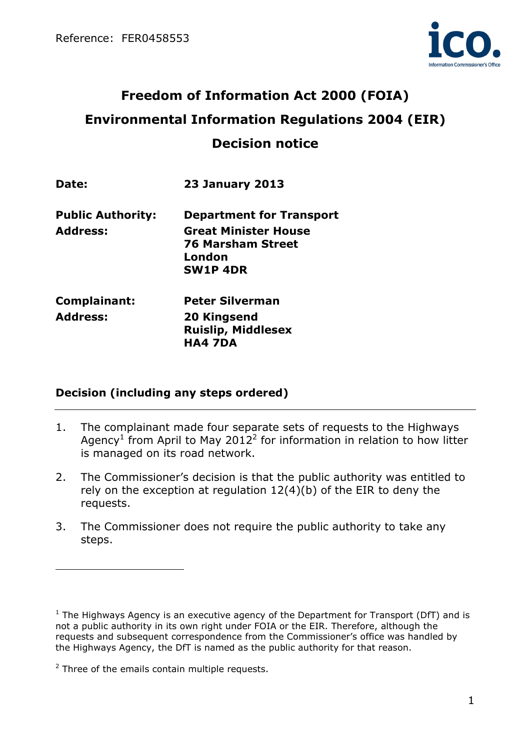

# Freedom of Information Act 2000 (FOIA) Environmental Information Regulations 2004 (EIR) Decision notice

| Date:                                       | <b>23 January 2013</b>                                                                                                  |
|---------------------------------------------|-------------------------------------------------------------------------------------------------------------------------|
| <b>Public Authority:</b><br><b>Address:</b> | <b>Department for Transport</b><br><b>Great Minister House</b><br><b>76 Marsham Street</b><br>London<br><b>SW1P 4DR</b> |
| Complainant:                                | <b>Peter Silverman</b>                                                                                                  |
| <b>Address:</b>                             | 20 Kingsend<br><b>Ruislip, Middlesex</b><br><b>HA4 7DA</b>                                                              |

# Decision (including any steps ordered)

- 1. The complainant made four separate sets of requests to the Highways Agency<sup>1</sup> from April to May 2012<sup>2</sup> for information in relation to how litter is managed on its road network.
- 2. The Commissioner's decision is that the public authority was entitled to rely on the exception at regulation 12(4)(b) of the EIR to deny the requests.
- 3. The Commissioner does not require the public authority to take any steps.

 $\overline{a}$ 

 $<sup>1</sup>$  The Highways Agency is an executive agency of the Department for Transport (DfT) and is</sup> not a public authority in its own right under FOIA or the EIR. Therefore, although the requests and subsequent correspondence from the Commissioner's office was handled by the Highways Agency, the DfT is named as the public authority for that reason.

 $2$  Three of the emails contain multiple requests.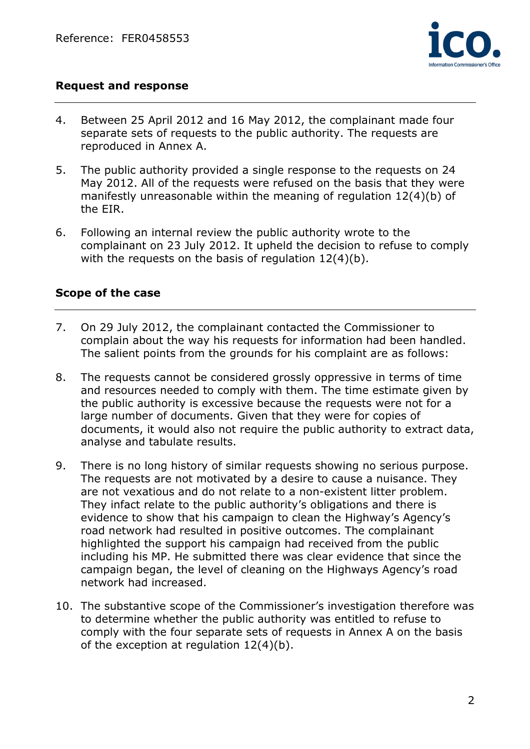

## Request and response

- 4. Between 25 April 2012 and 16 May 2012, the complainant made four separate sets of requests to the public authority. The requests are reproduced in Annex A.
- 5. The public authority provided a single response to the requests on 24 May 2012. All of the requests were refused on the basis that they were manifestly unreasonable within the meaning of regulation 12(4)(b) of the EIR.
- 6. Following an internal review the public authority wrote to the complainant on 23 July 2012. It upheld the decision to refuse to comply with the requests on the basis of regulation 12(4)(b).

## Scope of the case

- 7. On 29 July 2012, the complainant contacted the Commissioner to complain about the way his requests for information had been handled. The salient points from the grounds for his complaint are as follows:
- 8. The requests cannot be considered grossly oppressive in terms of time and resources needed to comply with them. The time estimate given by the public authority is excessive because the requests were not for a large number of documents. Given that they were for copies of documents, it would also not require the public authority to extract data, analyse and tabulate results.
- 9. There is no long history of similar requests showing no serious purpose. The requests are not motivated by a desire to cause a nuisance. They are not vexatious and do not relate to a non-existent litter problem. They infact relate to the public authority's obligations and there is evidence to show that his campaign to clean the Highway's Agency's road network had resulted in positive outcomes. The complainant highlighted the support his campaign had received from the public including his MP. He submitted there was clear evidence that since the campaign began, the level of cleaning on the Highways Agency's road network had increased.
- 10. The substantive scope of the Commissioner's investigation therefore was to determine whether the public authority was entitled to refuse to comply with the four separate sets of requests in Annex A on the basis of the exception at regulation 12(4)(b).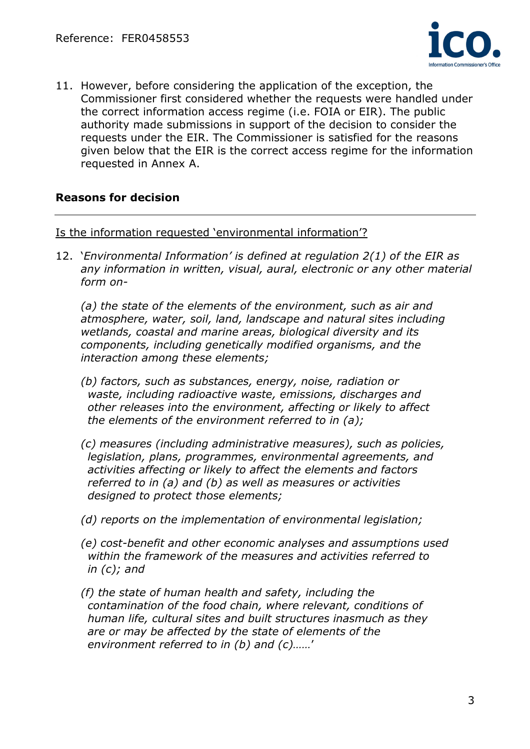

11. However, before considering the application of the exception, the Commissioner first considered whether the requests were handled under the correct information access regime (i.e. FOIA or EIR). The public authority made submissions in support of the decision to consider the requests under the EIR. The Commissioner is satisfied for the reasons given below that the EIR is the correct access regime for the information requested in Annex A.

## Reasons for decision

Is the information requested 'environmental information'?

12. 'Environmental Information' is defined at regulation 2(1) of the EIR as any information in written, visual, aural, electronic or any other material form on-

(a) the state of the elements of the environment, such as air and atmosphere, water, soil, land, landscape and natural sites including wetlands, coastal and marine areas, biological diversity and its components, including genetically modified organisms, and the interaction among these elements;

- (b) factors, such as substances, energy, noise, radiation or waste, including radioactive waste, emissions, discharges and other releases into the environment, affecting or likely to affect the elements of the environment referred to in (a);
- (c) measures (including administrative measures), such as policies, legislation, plans, programmes, environmental agreements, and activities affecting or likely to affect the elements and factors referred to in (a) and (b) as well as measures or activities designed to protect those elements;
- (d) reports on the implementation of environmental legislation;
- (e) cost-benefit and other economic analyses and assumptions used within the framework of the measures and activities referred to in (c); and
- (f) the state of human health and safety, including the contamination of the food chain, where relevant, conditions of human life, cultural sites and built structures inasmuch as they are or may be affected by the state of elements of the environment referred to in (b) and (c)……'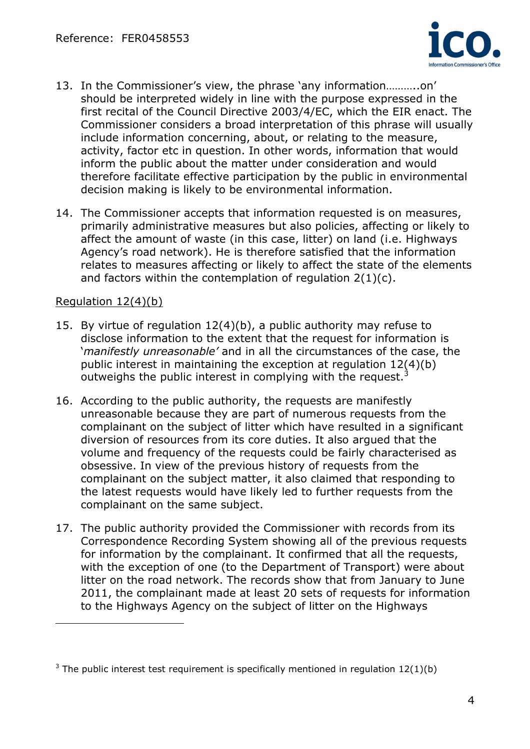

- 13. In the Commissioner's view, the phrase 'any information………..on' should be interpreted widely in line with the purpose expressed in the first recital of the Council Directive 2003/4/EC, which the EIR enact. The Commissioner considers a broad interpretation of this phrase will usually include information concerning, about, or relating to the measure, activity, factor etc in question. In other words, information that would inform the public about the matter under consideration and would therefore facilitate effective participation by the public in environmental decision making is likely to be environmental information.
- 14. The Commissioner accepts that information requested is on measures, primarily administrative measures but also policies, affecting or likely to affect the amount of waste (in this case, litter) on land (i.e. Highways Agency's road network). He is therefore satisfied that the information relates to measures affecting or likely to affect the state of the elements and factors within the contemplation of regulation 2(1)(c).

## Regulation 12(4)(b)

 $\overline{a}$ 

- 15. By virtue of regulation 12(4)(b), a public authority may refuse to disclose information to the extent that the request for information is 'manifestly unreasonable' and in all the circumstances of the case, the public interest in maintaining the exception at regulation 12(4)(b) outweighs the public interest in complying with the request.<sup>3</sup>
- 16. According to the public authority, the requests are manifestly unreasonable because they are part of numerous requests from the complainant on the subject of litter which have resulted in a significant diversion of resources from its core duties. It also argued that the volume and frequency of the requests could be fairly characterised as obsessive. In view of the previous history of requests from the complainant on the subject matter, it also claimed that responding to the latest requests would have likely led to further requests from the complainant on the same subject.
- 17. The public authority provided the Commissioner with records from its Correspondence Recording System showing all of the previous requests for information by the complainant. It confirmed that all the requests, with the exception of one (to the Department of Transport) were about litter on the road network. The records show that from January to June 2011, the complainant made at least 20 sets of requests for information to the Highways Agency on the subject of litter on the Highways

<sup>&</sup>lt;sup>3</sup> The public interest test requirement is specifically mentioned in regulation  $12(1)(b)$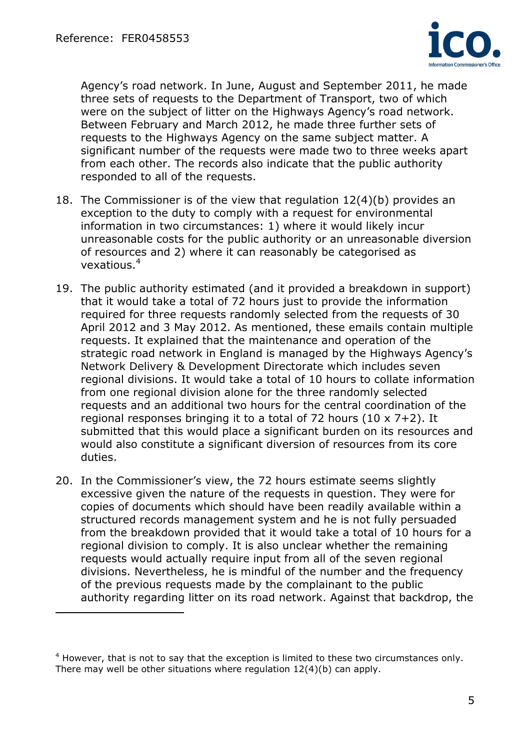$\overline{a}$ 



Agency's road network. In June, August and September 2011, he made three sets of requests to the Department of Transport, two of which were on the subject of litter on the Highways Agency's road network. Between February and March 2012, he made three further sets of requests to the Highways Agency on the same subject matter. A significant number of the requests were made two to three weeks apart from each other. The records also indicate that the public authority responded to all of the requests.

- 18. The Commissioner is of the view that regulation 12(4)(b) provides an exception to the duty to comply with a request for environmental information in two circumstances: 1) where it would likely incur unreasonable costs for the public authority or an unreasonable diversion of resources and 2) where it can reasonably be categorised as vexatious.<sup>4</sup>
- 19. The public authority estimated (and it provided a breakdown in support) that it would take a total of 72 hours just to provide the information required for three requests randomly selected from the requests of 30 April 2012 and 3 May 2012. As mentioned, these emails contain multiple requests. It explained that the maintenance and operation of the strategic road network in England is managed by the Highways Agency's Network Delivery & Development Directorate which includes seven regional divisions. It would take a total of 10 hours to collate information from one regional division alone for the three randomly selected requests and an additional two hours for the central coordination of the regional responses bringing it to a total of 72 hours (10  $\times$  7+2). It submitted that this would place a significant burden on its resources and would also constitute a significant diversion of resources from its core duties.
- 20. In the Commissioner's view, the 72 hours estimate seems slightly excessive given the nature of the requests in question. They were for copies of documents which should have been readily available within a structured records management system and he is not fully persuaded from the breakdown provided that it would take a total of 10 hours for a regional division to comply. It is also unclear whether the remaining requests would actually require input from all of the seven regional divisions. Nevertheless, he is mindful of the number and the frequency of the previous requests made by the complainant to the public authority regarding litter on its road network. Against that backdrop, the

 $4$  However, that is not to say that the exception is limited to these two circumstances only. There may well be other situations where regulation 12(4)(b) can apply.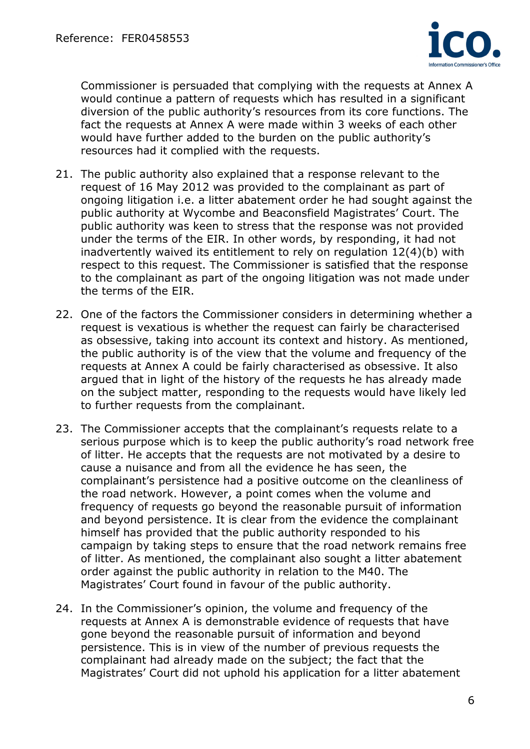

Commissioner is persuaded that complying with the requests at Annex A would continue a pattern of requests which has resulted in a significant diversion of the public authority's resources from its core functions. The fact the requests at Annex A were made within 3 weeks of each other would have further added to the burden on the public authority's resources had it complied with the requests.

- 21. The public authority also explained that a response relevant to the request of 16 May 2012 was provided to the complainant as part of ongoing litigation i.e. a litter abatement order he had sought against the public authority at Wycombe and Beaconsfield Magistrates' Court. The public authority was keen to stress that the response was not provided under the terms of the EIR. In other words, by responding, it had not inadvertently waived its entitlement to rely on regulation 12(4)(b) with respect to this request. The Commissioner is satisfied that the response to the complainant as part of the ongoing litigation was not made under the terms of the EIR.
- 22. One of the factors the Commissioner considers in determining whether a request is vexatious is whether the request can fairly be characterised as obsessive, taking into account its context and history. As mentioned, the public authority is of the view that the volume and frequency of the requests at Annex A could be fairly characterised as obsessive. It also argued that in light of the history of the requests he has already made on the subject matter, responding to the requests would have likely led to further requests from the complainant.
- 23. The Commissioner accepts that the complainant's requests relate to a serious purpose which is to keep the public authority's road network free of litter. He accepts that the requests are not motivated by a desire to cause a nuisance and from all the evidence he has seen, the complainant's persistence had a positive outcome on the cleanliness of the road network. However, a point comes when the volume and frequency of requests go beyond the reasonable pursuit of information and beyond persistence. It is clear from the evidence the complainant himself has provided that the public authority responded to his campaign by taking steps to ensure that the road network remains free of litter. As mentioned, the complainant also sought a litter abatement order against the public authority in relation to the M40. The Magistrates' Court found in favour of the public authority.
- 24. In the Commissioner's opinion, the volume and frequency of the requests at Annex A is demonstrable evidence of requests that have gone beyond the reasonable pursuit of information and beyond persistence. This is in view of the number of previous requests the complainant had already made on the subject; the fact that the Magistrates' Court did not uphold his application for a litter abatement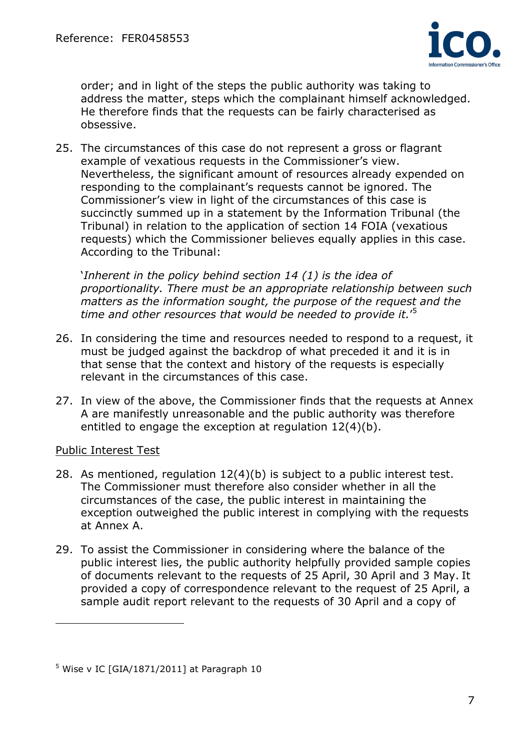

order; and in light of the steps the public authority was taking to address the matter, steps which the complainant himself acknowledged. He therefore finds that the requests can be fairly characterised as obsessive.

25. The circumstances of this case do not represent a gross or flagrant example of vexatious requests in the Commissioner's view. Nevertheless, the significant amount of resources already expended on responding to the complainant's requests cannot be ignored. The Commissioner's view in light of the circumstances of this case is succinctly summed up in a statement by the Information Tribunal (the Tribunal) in relation to the application of section 14 FOIA (vexatious requests) which the Commissioner believes equally applies in this case. According to the Tribunal:

'Inherent in the policy behind section 14 (1) is the idea of proportionality. There must be an appropriate relationship between such matters as the information sought, the purpose of the request and the time and other resources that would be needed to provide it.'<sup>5</sup>

- 26. In considering the time and resources needed to respond to a request, it must be judged against the backdrop of what preceded it and it is in that sense that the context and history of the requests is especially relevant in the circumstances of this case.
- 27. In view of the above, the Commissioner finds that the requests at Annex A are manifestly unreasonable and the public authority was therefore entitled to engage the exception at regulation 12(4)(b).

## Public Interest Test

 $\overline{a}$ 

- 28. As mentioned, regulation 12(4)(b) is subject to a public interest test. The Commissioner must therefore also consider whether in all the circumstances of the case, the public interest in maintaining the exception outweighed the public interest in complying with the requests at Annex A.
- 29. To assist the Commissioner in considering where the balance of the public interest lies, the public authority helpfully provided sample copies of documents relevant to the requests of 25 April, 30 April and 3 May. It provided a copy of correspondence relevant to the request of 25 April, a sample audit report relevant to the requests of 30 April and a copy of

<sup>5</sup> Wise v IC [GIA/1871/2011] at Paragraph 10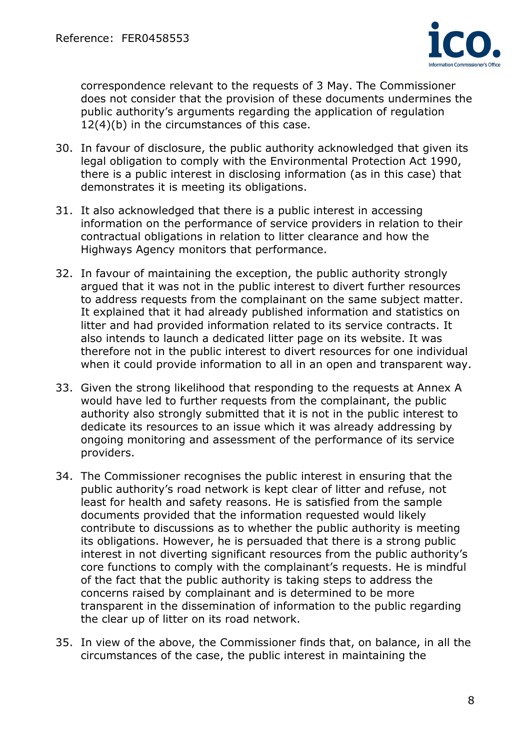

correspondence relevant to the requests of 3 May. The Commissioner does not consider that the provision of these documents undermines the public authority's arguments regarding the application of regulation 12(4)(b) in the circumstances of this case.

- 30. In favour of disclosure, the public authority acknowledged that given its legal obligation to comply with the Environmental Protection Act 1990, there is a public interest in disclosing information (as in this case) that demonstrates it is meeting its obligations.
- 31. It also acknowledged that there is a public interest in accessing information on the performance of service providers in relation to their contractual obligations in relation to litter clearance and how the Highways Agency monitors that performance.
- 32. In favour of maintaining the exception, the public authority strongly argued that it was not in the public interest to divert further resources to address requests from the complainant on the same subject matter. It explained that it had already published information and statistics on litter and had provided information related to its service contracts. It also intends to launch a dedicated litter page on its website. It was therefore not in the public interest to divert resources for one individual when it could provide information to all in an open and transparent way.
- 33. Given the strong likelihood that responding to the requests at Annex A would have led to further requests from the complainant, the public authority also strongly submitted that it is not in the public interest to dedicate its resources to an issue which it was already addressing by ongoing monitoring and assessment of the performance of its service providers.
- 34. The Commissioner recognises the public interest in ensuring that the public authority's road network is kept clear of litter and refuse, not least for health and safety reasons. He is satisfied from the sample documents provided that the information requested would likely contribute to discussions as to whether the public authority is meeting its obligations. However, he is persuaded that there is a strong public interest in not diverting significant resources from the public authority's core functions to comply with the complainant's requests. He is mindful of the fact that the public authority is taking steps to address the concerns raised by complainant and is determined to be more transparent in the dissemination of information to the public regarding the clear up of litter on its road network.
- 35. In view of the above, the Commissioner finds that, on balance, in all the circumstances of the case, the public interest in maintaining the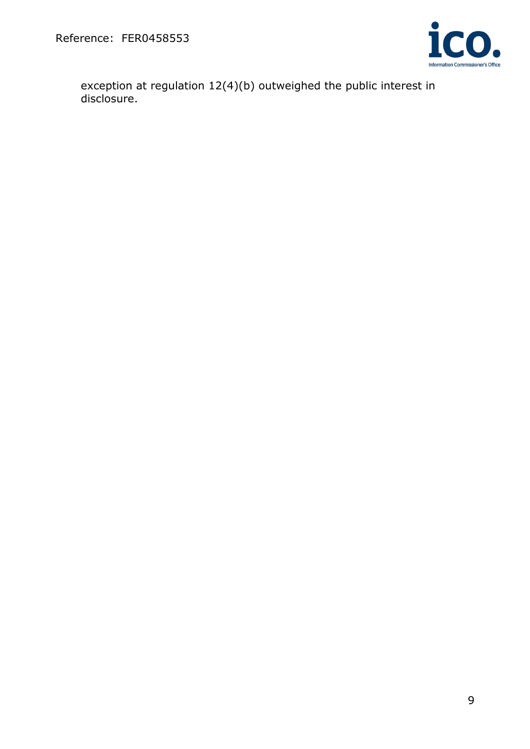

exception at regulation 12(4)(b) outweighed the public interest in disclosure.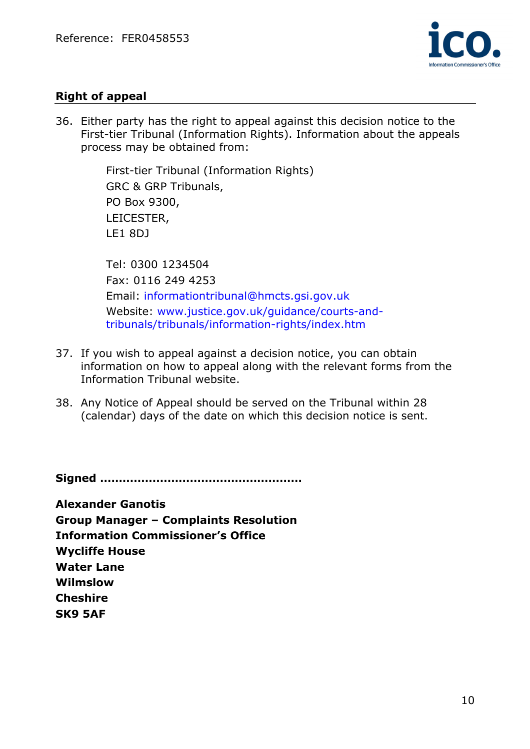

# Right of appeal

36. Either party has the right to appeal against this decision notice to the First-tier Tribunal (Information Rights). Information about the appeals process may be obtained from:

> First-tier Tribunal (Information Rights) GRC & GRP Tribunals, PO Box 9300, LEICESTER, LE1 8DJ

Tel: 0300 1234504 Fax: 0116 249 4253 Email: informationtribunal@hmcts.gsi.gov.uk Website: www.justice.gov.uk/guidance/courts-andtribunals/tribunals/information-rights/index.htm

- 37. If you wish to appeal against a decision notice, you can obtain information on how to appeal along with the relevant forms from the Information Tribunal website.
- 38. Any Notice of Appeal should be served on the Tribunal within 28 (calendar) days of the date on which this decision notice is sent.

Signed ………………………………………………

Alexander Ganotis Group Manager – Complaints Resolution Information Commissioner's Office Wycliffe House Water Lane Wilmslow Cheshire SK9 5AF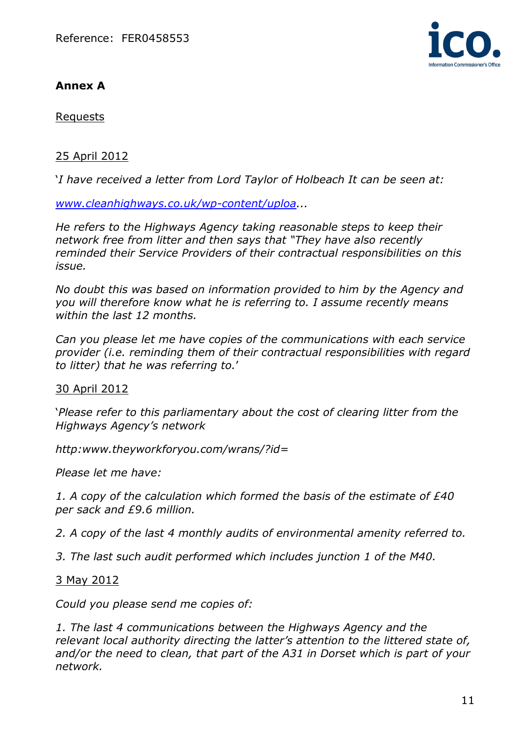# Annex A



#### Requests

#### 25 April 2012

'I have received a letter from Lord Taylor of Holbeach It can be seen at:

www.cleanhighways.co.uk/wp-content/uploa...

He refers to the Highways Agency taking reasonable steps to keep their network free from litter and then says that "They have also recently reminded their Service Providers of their contractual responsibilities on this issue.

No doubt this was based on information provided to him by the Agency and you will therefore know what he is referring to. I assume recently means within the last 12 months.

Can you please let me have copies of the communications with each service provider (i.e. reminding them of their contractual responsibilities with regard to litter) that he was referring to.'

#### 30 April 2012

'Please refer to this parliamentary about the cost of clearing litter from the Highways Agency's network

http:www.theyworkforyou.com/wrans/?id=

Please let me have:

1. A copy of the calculation which formed the basis of the estimate of  $E40$ per sack and £9.6 million.

2. A copy of the last 4 monthly audits of environmental amenity referred to.

3. The last such audit performed which includes junction 1 of the M40.

3 May 2012

Could you please send me copies of:

1. The last 4 communications between the Highways Agency and the relevant local authority directing the latter's attention to the littered state of, and/or the need to clean, that part of the A31 in Dorset which is part of your network.